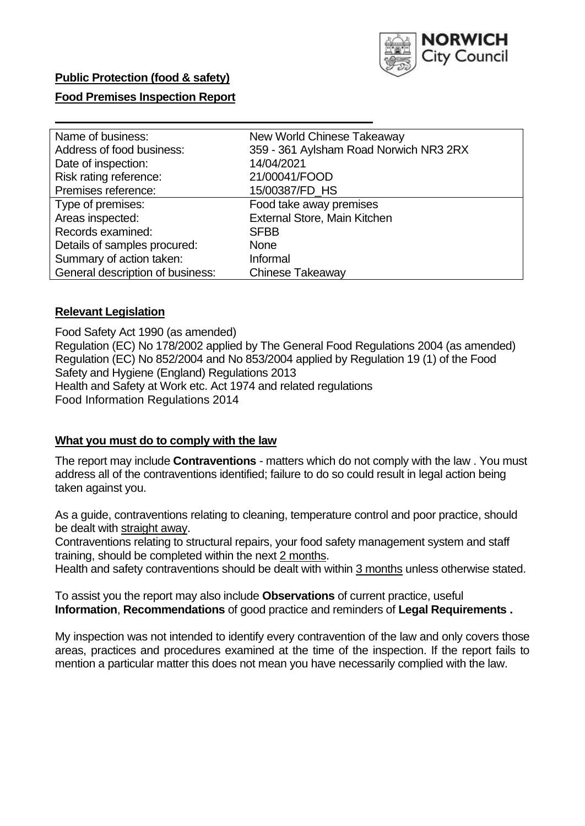

## **Public Protection (food & safety)**

### **Food Premises Inspection Report**

| Name of business:                | New World Chinese Takeaway             |
|----------------------------------|----------------------------------------|
| Address of food business:        | 359 - 361 Aylsham Road Norwich NR3 2RX |
| Date of inspection:              | 14/04/2021                             |
| Risk rating reference:           | 21/00041/FOOD                          |
| Premises reference:              | 15/00387/FD_HS                         |
| Type of premises:                | Food take away premises                |
| Areas inspected:                 | <b>External Store, Main Kitchen</b>    |
| Records examined:                | <b>SFBB</b>                            |
| Details of samples procured:     | <b>None</b>                            |
| Summary of action taken:         | Informal                               |
| General description of business: | Chinese Takeaway                       |

### **Relevant Legislation**

 Food Safety Act 1990 (as amended) Regulation (EC) No 178/2002 applied by The General Food Regulations 2004 (as amended) Regulation (EC) No 852/2004 and No 853/2004 applied by Regulation 19 (1) of the Food Safety and Hygiene (England) Regulations 2013 Health and Safety at Work etc. Act 1974 and related regulations Food Information Regulations 2014

### **What you must do to comply with the law**

 The report may include **Contraventions** - matters which do not comply with the law . You must address all of the contraventions identified; failure to do so could result in legal action being taken against you.

 As a guide, contraventions relating to cleaning, temperature control and poor practice, should be dealt with straight away.

 Contraventions relating to structural repairs, your food safety management system and staff training, should be completed within the next 2 months.

Health and safety contraventions should be dealt with within 3 months unless otherwise stated.

 To assist you the report may also include **Observations** of current practice, useful **Information**, **Recommendations** of good practice and reminders of **Legal Requirements .** 

 My inspection was not intended to identify every contravention of the law and only covers those areas, practices and procedures examined at the time of the inspection. If the report fails to mention a particular matter this does not mean you have necessarily complied with the law.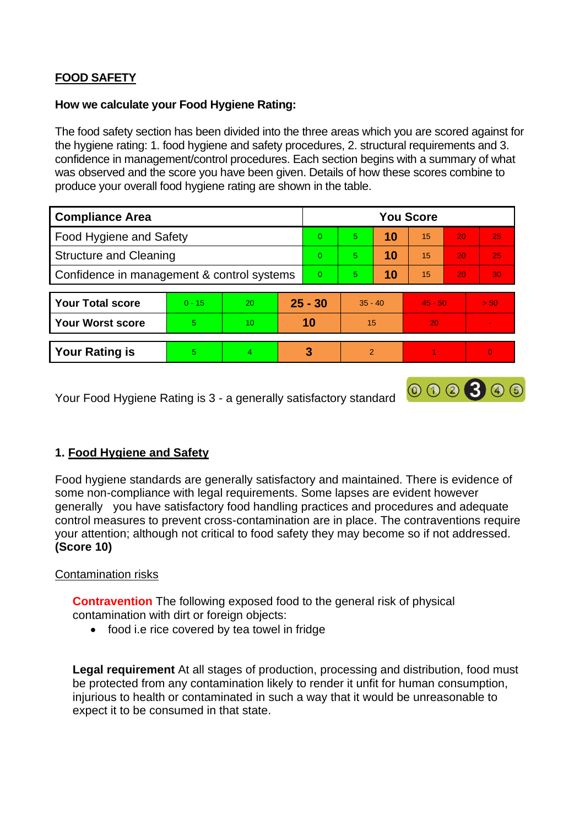# **FOOD SAFETY**

### **How we calculate your Food Hygiene Rating:**

 The food safety section has been divided into the three areas which you are scored against for the hygiene rating: 1. food hygiene and safety procedures, 2. structural requirements and 3. confidence in management/control procedures. Each section begins with a summary of what was observed and the score you have been given. Details of how these scores combine to produce your overall food hygiene rating are shown in the table.

| <b>Compliance Area</b>                     |          |                |           | <b>You Score</b> |                |    |           |                 |          |  |  |
|--------------------------------------------|----------|----------------|-----------|------------------|----------------|----|-----------|-----------------|----------|--|--|
| Food Hygiene and Safety                    |          |                | $\Omega$  | 5                | 10             | 15 | 20        | 25              |          |  |  |
| <b>Structure and Cleaning</b>              |          |                | $\Omega$  | $5^{\circ}$      | 10             | 15 | 20        | 25              |          |  |  |
| Confidence in management & control systems |          |                | $\Omega$  | 5                | 10             | 15 | 20        | 30 <sup>°</sup> |          |  |  |
|                                            |          |                |           |                  |                |    |           |                 |          |  |  |
| <b>Your Total score</b>                    | $0 - 15$ | 20             | $25 - 30$ |                  | $35 - 40$      |    | $45 - 50$ |                 | > 50     |  |  |
| <b>Your Worst score</b>                    | 5.       | 10             | 10        |                  | 15             |    | 20        |                 | ۰        |  |  |
|                                            |          |                |           |                  |                |    |           |                 |          |  |  |
| <b>Your Rating is</b>                      | 5        | $\overline{4}$ |           | 3                | $\overline{2}$ |    |           |                 | $\Omega$ |  |  |

Your Food Hygiene Rating is 3 - a generally satisfactory standard

## **1. Food Hygiene and Safety**

 generally you have satisfactory food handling practices and procedures and adequate Food hygiene standards are generally satisfactory and maintained. There is evidence of some non-compliance with legal requirements. Some lapses are evident however control measures to prevent cross-contamination are in place. The contraventions require your attention; although not critical to food safety they may become so if not addressed. **(Score 10)** 

000300

## Contamination risks

 **Contravention** The following exposed food to the general risk of physical contamination with dirt or foreign objects:

• food i.e rice covered by tea towel in fridge

 injurious to health or contaminated in such a way that it would be unreasonable to **Legal requirement** At all stages of production, processing and distribution, food must be protected from any contamination likely to render it unfit for human consumption, expect it to be consumed in that state.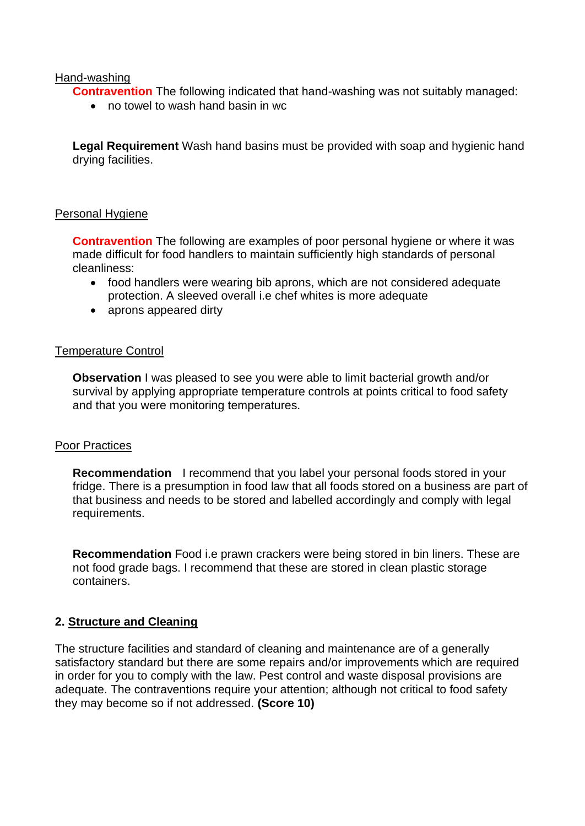### Hand-washing

**Contravention** The following indicated that hand-washing was not suitably managed:

• no towel to wash hand basin in wc

 **Legal Requirement** Wash hand basins must be provided with soap and hygienic hand drying facilities.

### Personal Hygiene

 made difficult for food handlers to maintain sufficiently high standards of personal **Contravention** The following are examples of poor personal hygiene or where it was cleanliness:

- • food handlers were wearing bib aprons, which are not considered adequate protection. A sleeved overall i.e chef whites is more adequate
- aprons appeared dirty

### Temperature Control

**Observation** I was pleased to see you were able to limit bacterial growth and/or survival by applying appropriate temperature controls at points critical to food safety and that you were monitoring temperatures.

### Poor Practices

 that business and needs to be stored and labelled accordingly and comply with legal **Recommendation** I recommend that you label your personal foods stored in your fridge. There is a presumption in food law that all foods stored on a business are part of requirements.

**Recommendation** Food i.e prawn crackers were being stored in bin liners. These are not food grade bags. I recommend that these are stored in clean plastic storage containers.

## **2. Structure and Cleaning**

The structure facilities and standard of cleaning and maintenance are of a generally satisfactory standard but there are some repairs and/or improvements which are required in order for you to comply with the law. Pest control and waste disposal provisions are adequate. The contraventions require your attention; although not critical to food safety they may become so if not addressed. **(Score 10)**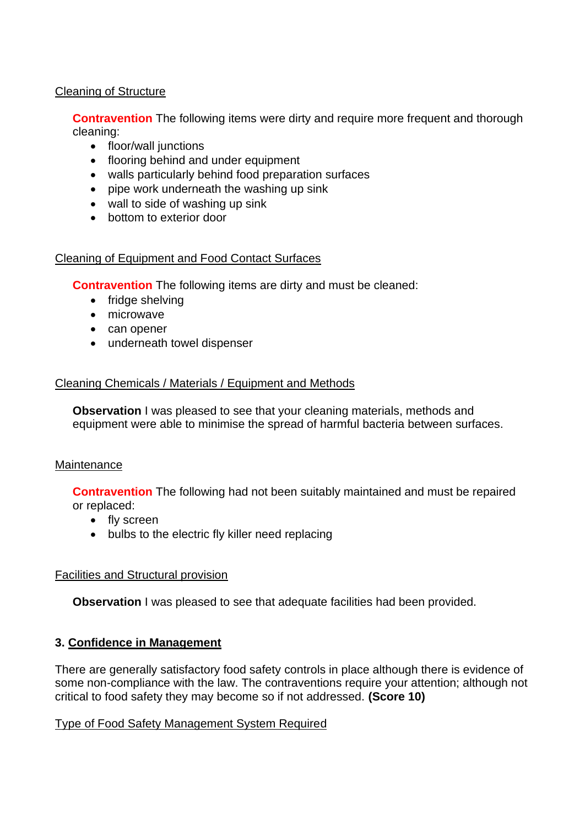## Cleaning of Structure

**Contravention** The following items were dirty and require more frequent and thorough cleaning:

- floor/wall junctions
- flooring behind and under equipment
- walls particularly behind food preparation surfaces
- pipe work underneath the washing up sink
- wall to side of washing up sink
- bottom to exterior door

## Cleaning of Equipment and Food Contact Surfaces

**Contravention** The following items are dirty and must be cleaned:

- fridge shelving
- microwave
- can opener
- underneath towel dispenser

## Cleaning Chemicals / Materials / Equipment and Methods

**Observation** I was pleased to see that your cleaning materials, methods and equipment were able to minimise the spread of harmful bacteria between surfaces.

## **Maintenance**

**Contravention** The following had not been suitably maintained and must be repaired or replaced:

- fly screen
- bulbs to the electric fly killer need replacing

## Facilities and Structural provision

**Observation** I was pleased to see that adequate facilities had been provided.

## **3. Confidence in Management**

 There are generally satisfactory food safety controls in place although there is evidence of some non-compliance with the law. The contraventions require your attention; although not critical to food safety they may become so if not addressed. **(Score 10)** 

## Type of Food Safety Management System Required